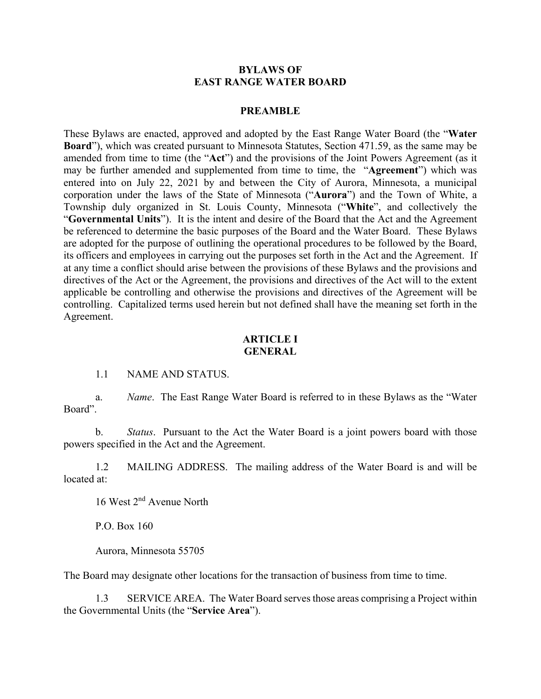#### **BYLAWS OF EAST RANGE WATER BOARD**

#### **PREAMBLE**

These Bylaws are enacted, approved and adopted by the East Range Water Board (the "**Water Board**"), which was created pursuant to Minnesota Statutes, Section 471.59, as the same may be amended from time to time (the "**Act**") and the provisions of the Joint Powers Agreement (as it may be further amended and supplemented from time to time, the "**Agreement**") which was entered into on July 22, 2021 by and between the City of Aurora, Minnesota, a municipal corporation under the laws of the State of Minnesota ("**Aurora**") and the Town of White, a Township duly organized in St. Louis County, Minnesota ("**White**", and collectively the "**Governmental Units**"). It is the intent and desire of the Board that the Act and the Agreement be referenced to determine the basic purposes of the Board and the Water Board. These Bylaws are adopted for the purpose of outlining the operational procedures to be followed by the Board, its officers and employees in carrying out the purposes set forth in the Act and the Agreement. If at any time a conflict should arise between the provisions of these Bylaws and the provisions and directives of the Act or the Agreement, the provisions and directives of the Act will to the extent applicable be controlling and otherwise the provisions and directives of the Agreement will be controlling. Capitalized terms used herein but not defined shall have the meaning set forth in the Agreement.

#### **ARTICLE I GENERAL**

#### 1.1 NAME AND STATUS.

a. *Name*. The East Range Water Board is referred to in these Bylaws as the "Water Board".

b. *Status*. Pursuant to the Act the Water Board is a joint powers board with those powers specified in the Act and the Agreement.

1.2 MAILING ADDRESS. The mailing address of the Water Board is and will be located at:

16 West 2nd Avenue North

P.O. Box 160

Aurora, Minnesota 55705

The Board may designate other locations for the transaction of business from time to time.

1.3 SERVICE AREA. The Water Board serves those areas comprising a Project within the Governmental Units (the "**Service Area**").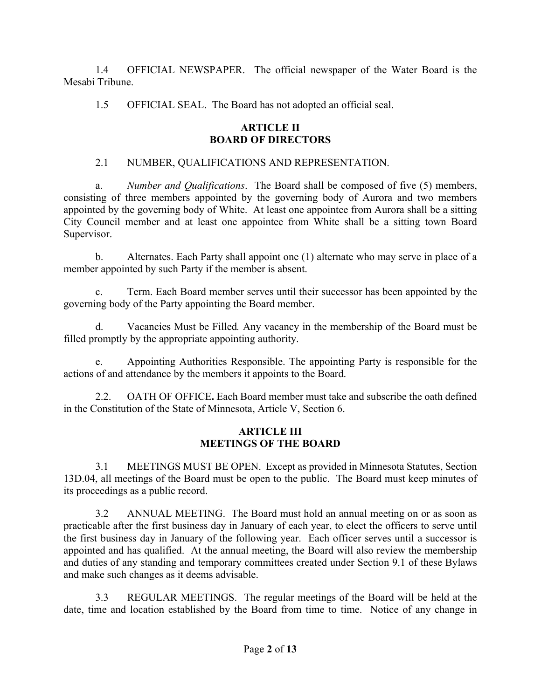1.4 OFFICIAL NEWSPAPER. The official newspaper of the Water Board is the Mesabi Tribune.

1.5 OFFICIAL SEAL. The Board has not adopted an official seal.

# **ARTICLE II BOARD OF DIRECTORS**

# 2.1 NUMBER, QUALIFICATIONS AND REPRESENTATION.

a. *Number and Qualifications*. The Board shall be composed of five (5) members, consisting of three members appointed by the governing body of Aurora and two members appointed by the governing body of White. At least one appointee from Aurora shall be a sitting City Council member and at least one appointee from White shall be a sitting town Board Supervisor.

b. Alternates. Each Party shall appoint one (1) alternate who may serve in place of a member appointed by such Party if the member is absent.

c. Term. Each Board member serves until their successor has been appointed by the governing body of the Party appointing the Board member.

d. Vacancies Must be Filled*.* Any vacancy in the membership of the Board must be filled promptly by the appropriate appointing authority.

e. Appointing Authorities Responsible. The appointing Party is responsible for the actions of and attendance by the members it appoints to the Board.

2.2. OATH OF OFFICE**.** Each Board member must take and subscribe the oath defined in the Constitution of the State of Minnesota, Article V, Section 6.

### **ARTICLE III MEETINGS OF THE BOARD**

3.1 MEETINGS MUST BE OPEN. Except as provided in Minnesota Statutes, Section 13D.04, all meetings of the Board must be open to the public. The Board must keep minutes of its proceedings as a public record.

3.2 ANNUAL MEETING. The Board must hold an annual meeting on or as soon as practicable after the first business day in January of each year, to elect the officers to serve until the first business day in January of the following year. Each officer serves until a successor is appointed and has qualified. At the annual meeting, the Board will also review the membership and duties of any standing and temporary committees created under Section 9.1 of these Bylaws and make such changes as it deems advisable.

3.3 REGULAR MEETINGS. The regular meetings of the Board will be held at the date, time and location established by the Board from time to time. Notice of any change in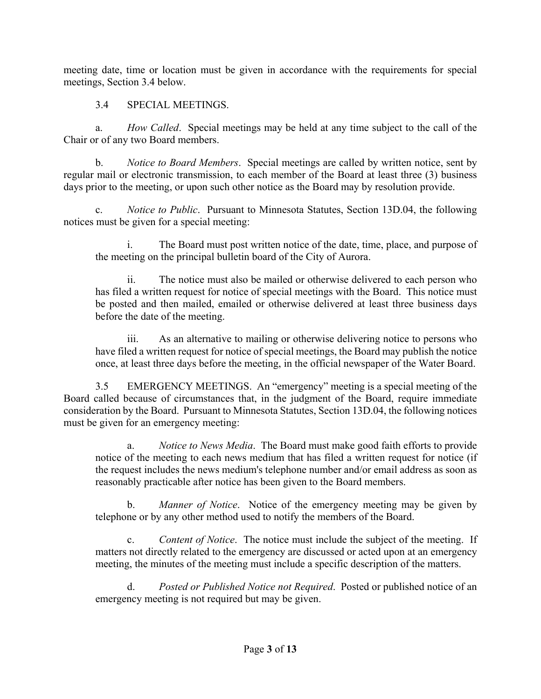meeting date, time or location must be given in accordance with the requirements for special meetings, Section 3.4 below.

3.4 SPECIAL MEETINGS.

a. *How Called*. Special meetings may be held at any time subject to the call of the Chair or of any two Board members.

b. *Notice to Board Members*. Special meetings are called by written notice, sent by regular mail or electronic transmission, to each member of the Board at least three (3) business days prior to the meeting, or upon such other notice as the Board may by resolution provide.

c. *Notice to Public*. Pursuant to Minnesota Statutes, Section 13D.04, the following notices must be given for a special meeting:

i. The Board must post written notice of the date, time, place, and purpose of the meeting on the principal bulletin board of the City of Aurora.

ii. The notice must also be mailed or otherwise delivered to each person who has filed a written request for notice of special meetings with the Board. This notice must be posted and then mailed, emailed or otherwise delivered at least three business days before the date of the meeting.

iii. As an alternative to mailing or otherwise delivering notice to persons who have filed a written request for notice of special meetings, the Board may publish the notice once, at least three days before the meeting, in the official newspaper of the Water Board.

3.5 EMERGENCY MEETINGS. An "emergency" meeting is a special meeting of the Board called because of circumstances that, in the judgment of the Board, require immediate consideration by the Board. Pursuant to Minnesota Statutes, Section 13D.04, the following notices must be given for an emergency meeting:

a. *Notice to News Media*. The Board must make good faith efforts to provide notice of the meeting to each news medium that has filed a written request for notice (if the request includes the news medium's telephone number and/or email address as soon as reasonably practicable after notice has been given to the Board members.

b. *Manner of Notice*. Notice of the emergency meeting may be given by telephone or by any other method used to notify the members of the Board.

c. *Content of Notice*. The notice must include the subject of the meeting. If matters not directly related to the emergency are discussed or acted upon at an emergency meeting, the minutes of the meeting must include a specific description of the matters.

d. *Posted or Published Notice not Required*. Posted or published notice of an emergency meeting is not required but may be given.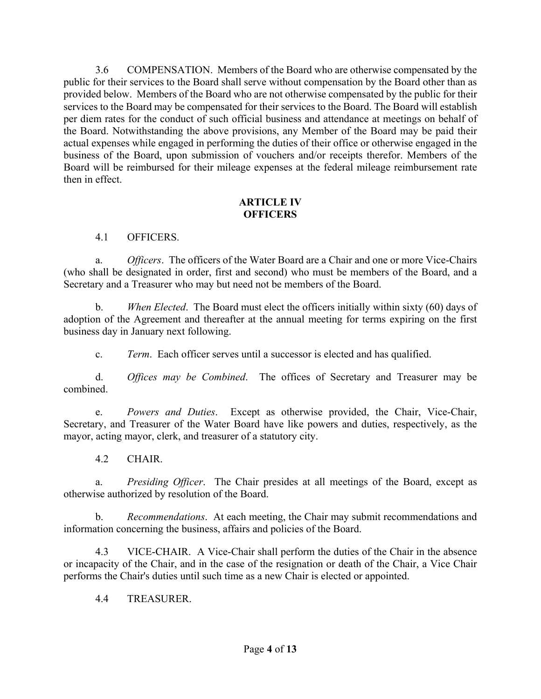3.6 COMPENSATION. Members of the Board who are otherwise compensated by the public for their services to the Board shall serve without compensation by the Board other than as provided below. Members of the Board who are not otherwise compensated by the public for their services to the Board may be compensated for their services to the Board. The Board will establish per diem rates for the conduct of such official business and attendance at meetings on behalf of the Board. Notwithstanding the above provisions, any Member of the Board may be paid their actual expenses while engaged in performing the duties of their office or otherwise engaged in the business of the Board, upon submission of vouchers and/or receipts therefor. Members of the Board will be reimbursed for their mileage expenses at the federal mileage reimbursement rate then in effect.

#### **ARTICLE IV OFFICERS**

# 4.1 OFFICERS.

a. *Officers*. The officers of the Water Board are a Chair and one or more Vice-Chairs (who shall be designated in order, first and second) who must be members of the Board, and a Secretary and a Treasurer who may but need not be members of the Board.

b. *When Elected*. The Board must elect the officers initially within sixty (60) days of adoption of the Agreement and thereafter at the annual meeting for terms expiring on the first business day in January next following.

c. *Term*. Each officer serves until a successor is elected and has qualified.

d. *Offices may be Combined*. The offices of Secretary and Treasurer may be combined.

e. *Powers and Duties*. Except as otherwise provided, the Chair, Vice-Chair, Secretary, and Treasurer of the Water Board have like powers and duties, respectively, as the mayor, acting mayor, clerk, and treasurer of a statutory city.

4.2 CHAIR.

a. *Presiding Officer*. The Chair presides at all meetings of the Board, except as otherwise authorized by resolution of the Board.

b. *Recommendations*. At each meeting, the Chair may submit recommendations and information concerning the business, affairs and policies of the Board.

4.3 VICE-CHAIR. A Vice-Chair shall perform the duties of the Chair in the absence or incapacity of the Chair, and in the case of the resignation or death of the Chair, a Vice Chair performs the Chair's duties until such time as a new Chair is elected or appointed.

4.4 TREASURER.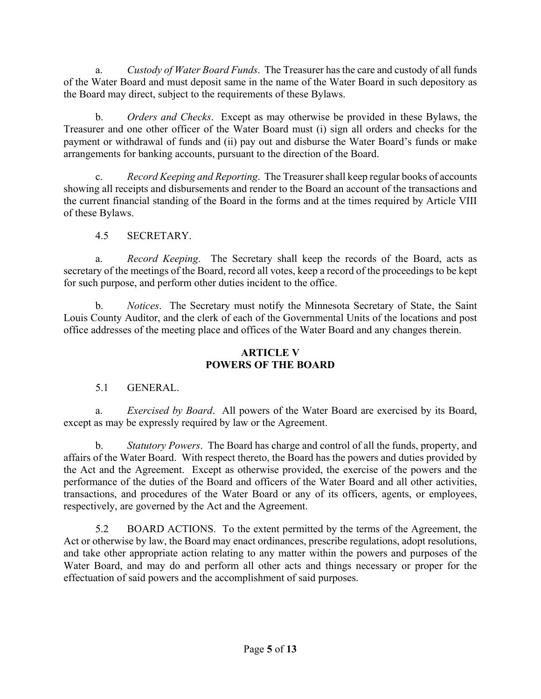a. *Custody of Water Board Funds*. The Treasurer has the care and custody of all funds of the Water Board and must deposit same in the name of the Water Board in such depository as the Board may direct, subject to the requirements of these Bylaws.

b. *Orders and Checks*. Except as may otherwise be provided in these Bylaws, the Treasurer and one other officer of the Water Board must (i) sign all orders and checks for the payment or withdrawal of funds and (ii) pay out and disburse the Water Board's funds or make arrangements for banking accounts, pursuant to the direction of the Board.

c. *Record Keeping and Reporting*. The Treasurer shall keep regular books of accounts showing all receipts and disbursements and render to the Board an account of the transactions and the current financial standing of the Board in the forms and at the times required by Article VIII of these Bylaws.

# 4.5 SECRETARY.

a. *Record Keeping*. The Secretary shall keep the records of the Board, acts as secretary of the meetings of the Board, record all votes, keep a record of the proceedings to be kept for such purpose, and perform other duties incident to the office.

b. *Notices*. The Secretary must notify the Minnesota Secretary of State, the Saint Louis County Auditor, and the clerk of each of the Governmental Units of the locations and post office addresses of the meeting place and offices of the Water Board and any changes therein.

# **ARTICLE V POWERS OF THE BOARD**

# 5.1 GENERAL.

a. *Exercised by Board*. All powers of the Water Board are exercised by its Board, except as may be expressly required by law or the Agreement.

b. *Statutory Powers*. The Board has charge and control of all the funds, property, and affairs of the Water Board. With respect thereto, the Board has the powers and duties provided by the Act and the Agreement. Except as otherwise provided, the exercise of the powers and the performance of the duties of the Board and officers of the Water Board and all other activities, transactions, and procedures of the Water Board or any of its officers, agents, or employees, respectively, are governed by the Act and the Agreement.

5.2 BOARD ACTIONS. To the extent permitted by the terms of the Agreement, the Act or otherwise by law, the Board may enact ordinances, prescribe regulations, adopt resolutions, and take other appropriate action relating to any matter within the powers and purposes of the Water Board, and may do and perform all other acts and things necessary or proper for the effectuation of said powers and the accomplishment of said purposes.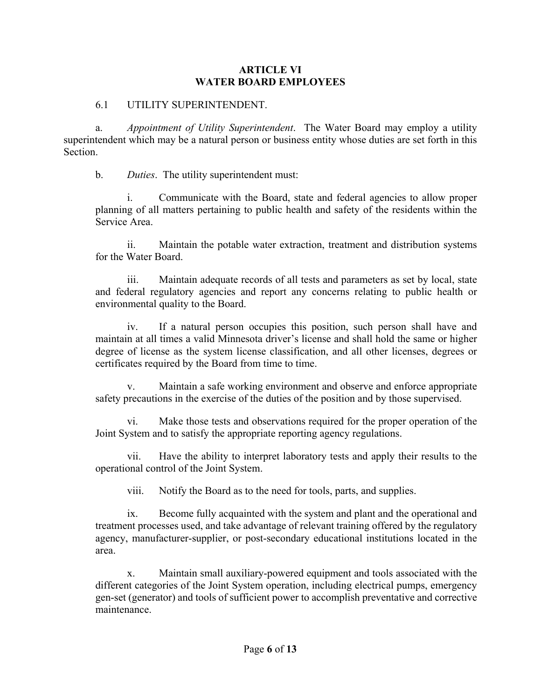### **ARTICLE VI WATER BOARD EMPLOYEES**

### 6.1 UTILITY SUPERINTENDENT.

a. *Appointment of Utility Superintendent*. The Water Board may employ a utility superintendent which may be a natural person or business entity whose duties are set forth in this Section.

b. *Duties*. The utility superintendent must:

i. Communicate with the Board, state and federal agencies to allow proper planning of all matters pertaining to public health and safety of the residents within the Service Area.

ii. Maintain the potable water extraction, treatment and distribution systems for the Water Board.

iii. Maintain adequate records of all tests and parameters as set by local, state and federal regulatory agencies and report any concerns relating to public health or environmental quality to the Board.

iv. If a natural person occupies this position, such person shall have and maintain at all times a valid Minnesota driver's license and shall hold the same or higher degree of license as the system license classification, and all other licenses, degrees or certificates required by the Board from time to time.

Maintain a safe working environment and observe and enforce appropriate safety precautions in the exercise of the duties of the position and by those supervised.

vi. Make those tests and observations required for the proper operation of the Joint System and to satisfy the appropriate reporting agency regulations.

vii. Have the ability to interpret laboratory tests and apply their results to the operational control of the Joint System.

viii. Notify the Board as to the need for tools, parts, and supplies.

ix. Become fully acquainted with the system and plant and the operational and treatment processes used, and take advantage of relevant training offered by the regulatory agency, manufacturer-supplier, or post-secondary educational institutions located in the area.

x. Maintain small auxiliary-powered equipment and tools associated with the different categories of the Joint System operation, including electrical pumps, emergency gen-set (generator) and tools of sufficient power to accomplish preventative and corrective maintenance.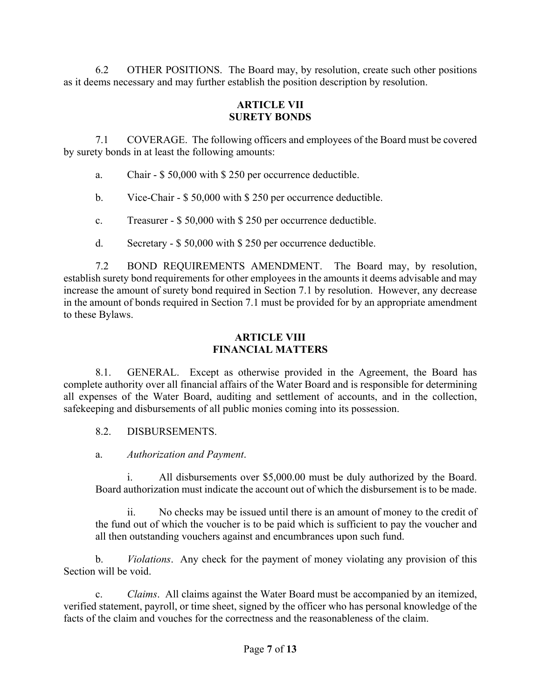6.2 OTHER POSITIONS. The Board may, by resolution, create such other positions as it deems necessary and may further establish the position description by resolution.

### **ARTICLE VII SURETY BONDS**

7.1 COVERAGE. The following officers and employees of the Board must be covered by surety bonds in at least the following amounts:

- a. Chair \$ 50,000 with \$ 250 per occurrence deductible.
- b. Vice-Chair \$ 50,000 with \$ 250 per occurrence deductible.
- c. Treasurer \$ 50,000 with \$ 250 per occurrence deductible.
- d. Secretary \$ 50,000 with \$ 250 per occurrence deductible.

7.2 BOND REQUIREMENTS AMENDMENT. The Board may, by resolution, establish surety bond requirements for other employees in the amounts it deems advisable and may increase the amount of surety bond required in Section 7.1 by resolution. However, any decrease in the amount of bonds required in Section 7.1 must be provided for by an appropriate amendment to these Bylaws.

## **ARTICLE VIII FINANCIAL MATTERS**

8.1. GENERAL. Except as otherwise provided in the Agreement, the Board has complete authority over all financial affairs of the Water Board and is responsible for determining all expenses of the Water Board, auditing and settlement of accounts, and in the collection, safekeeping and disbursements of all public monies coming into its possession.

- 8.2. DISBURSEMENTS.
- a. *Authorization and Payment*.

i. All disbursements over \$5,000.00 must be duly authorized by the Board. Board authorization must indicate the account out of which the disbursement is to be made.

ii. No checks may be issued until there is an amount of money to the credit of the fund out of which the voucher is to be paid which is sufficient to pay the voucher and all then outstanding vouchers against and encumbrances upon such fund.

b. *Violations*. Any check for the payment of money violating any provision of this Section will be void.

c. *Claims*. All claims against the Water Board must be accompanied by an itemized, verified statement, payroll, or time sheet, signed by the officer who has personal knowledge of the facts of the claim and vouches for the correctness and the reasonableness of the claim.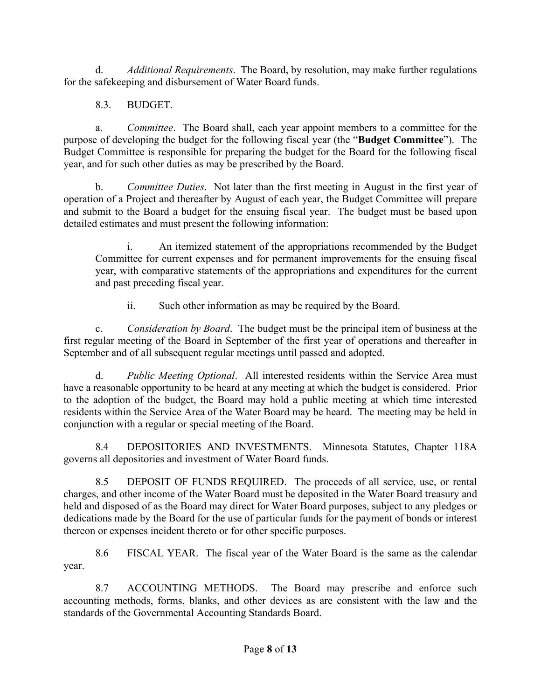d. *Additional Requirements*. The Board, by resolution, may make further regulations for the safekeeping and disbursement of Water Board funds.

8.3. BUDGET.

a. *Committee*. The Board shall, each year appoint members to a committee for the purpose of developing the budget for the following fiscal year (the "**Budget Committee**"). The Budget Committee is responsible for preparing the budget for the Board for the following fiscal year, and for such other duties as may be prescribed by the Board.

b. *Committee Duties*. Not later than the first meeting in August in the first year of operation of a Project and thereafter by August of each year, the Budget Committee will prepare and submit to the Board a budget for the ensuing fiscal year. The budget must be based upon detailed estimates and must present the following information:

i. An itemized statement of the appropriations recommended by the Budget Committee for current expenses and for permanent improvements for the ensuing fiscal year, with comparative statements of the appropriations and expenditures for the current and past preceding fiscal year.

ii. Such other information as may be required by the Board.

c. *Consideration by Board*. The budget must be the principal item of business at the first regular meeting of the Board in September of the first year of operations and thereafter in September and of all subsequent regular meetings until passed and adopted.

d. *Public Meeting Optional*. All interested residents within the Service Area must have a reasonable opportunity to be heard at any meeting at which the budget is considered. Prior to the adoption of the budget, the Board may hold a public meeting at which time interested residents within the Service Area of the Water Board may be heard. The meeting may be held in conjunction with a regular or special meeting of the Board.

8.4 DEPOSITORIES AND INVESTMENTS. Minnesota Statutes, Chapter 118A governs all depositories and investment of Water Board funds.

8.5 DEPOSIT OF FUNDS REQUIRED. The proceeds of all service, use, or rental charges, and other income of the Water Board must be deposited in the Water Board treasury and held and disposed of as the Board may direct for Water Board purposes, subject to any pledges or dedications made by the Board for the use of particular funds for the payment of bonds or interest thereon or expenses incident thereto or for other specific purposes.

8.6 FISCAL YEAR. The fiscal year of the Water Board is the same as the calendar year.

8.7 ACCOUNTING METHODS. The Board may prescribe and enforce such accounting methods, forms, blanks, and other devices as are consistent with the law and the standards of the Governmental Accounting Standards Board.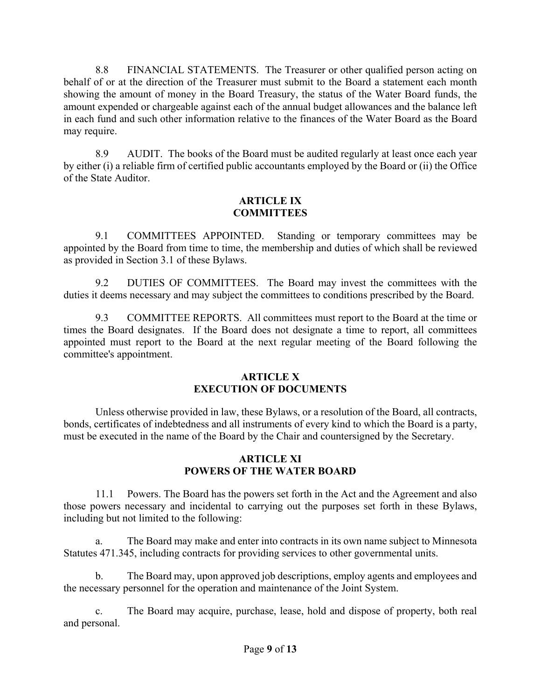8.8 FINANCIAL STATEMENTS. The Treasurer or other qualified person acting on behalf of or at the direction of the Treasurer must submit to the Board a statement each month showing the amount of money in the Board Treasury, the status of the Water Board funds, the amount expended or chargeable against each of the annual budget allowances and the balance left in each fund and such other information relative to the finances of the Water Board as the Board may require.

8.9 AUDIT. The books of the Board must be audited regularly at least once each year by either (i) a reliable firm of certified public accountants employed by the Board or (ii) the Office of the State Auditor.

## **ARTICLE IX COMMITTEES**

9.1 COMMITTEES APPOINTED. Standing or temporary committees may be appointed by the Board from time to time, the membership and duties of which shall be reviewed as provided in Section 3.1 of these Bylaws.

9.2 DUTIES OF COMMITTEES. The Board may invest the committees with the duties it deems necessary and may subject the committees to conditions prescribed by the Board.

9.3 COMMITTEE REPORTS. All committees must report to the Board at the time or times the Board designates. If the Board does not designate a time to report, all committees appointed must report to the Board at the next regular meeting of the Board following the committee's appointment.

### **ARTICLE X EXECUTION OF DOCUMENTS**

Unless otherwise provided in law, these Bylaws, or a resolution of the Board, all contracts, bonds, certificates of indebtedness and all instruments of every kind to which the Board is a party, must be executed in the name of the Board by the Chair and countersigned by the Secretary.

# **ARTICLE XI POWERS OF THE WATER BOARD**

11.1 Powers. The Board has the powers set forth in the Act and the Agreement and also those powers necessary and incidental to carrying out the purposes set forth in these Bylaws, including but not limited to the following:

a. The Board may make and enter into contracts in its own name subject to Minnesota Statutes 471.345, including contracts for providing services to other governmental units.

b. The Board may, upon approved job descriptions, employ agents and employees and the necessary personnel for the operation and maintenance of the Joint System.

c. The Board may acquire, purchase, lease, hold and dispose of property, both real and personal.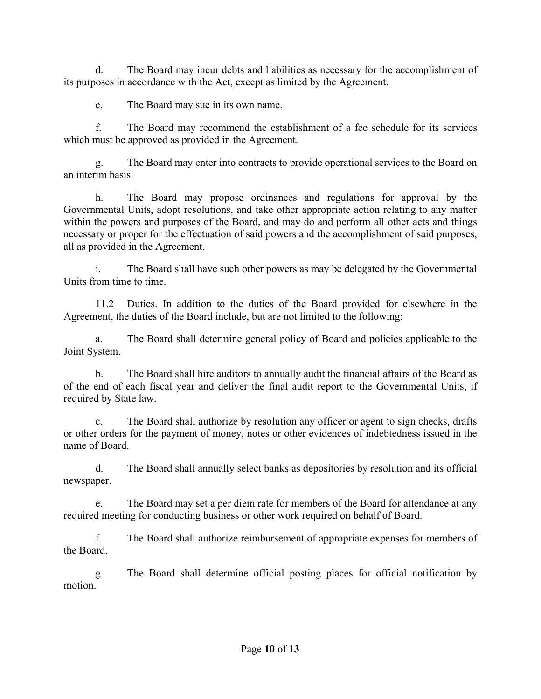d. The Board may incur debts and liabilities as necessary for the accomplishment of its purposes in accordance with the Act, except as limited by the Agreement.

e. The Board may sue in its own name.

f. The Board may recommend the establishment of a fee schedule for its services which must be approved as provided in the Agreement.

The Board may enter into contracts to provide operational services to the Board on an interim basis.

h. The Board may propose ordinances and regulations for approval by the Governmental Units, adopt resolutions, and take other appropriate action relating to any matter within the powers and purposes of the Board, and may do and perform all other acts and things necessary or proper for the effectuation of said powers and the accomplishment of said purposes, all as provided in the Agreement.

i. The Board shall have such other powers as may be delegated by the Governmental Units from time to time.

11.2 Duties. In addition to the duties of the Board provided for elsewhere in the Agreement, the duties of the Board include, but are not limited to the following:

a. The Board shall determine general policy of Board and policies applicable to the Joint System.

b. The Board shall hire auditors to annually audit the financial affairs of the Board as of the end of each fiscal year and deliver the final audit report to the Governmental Units, if required by State law.

c. The Board shall authorize by resolution any officer or agent to sign checks, drafts or other orders for the payment of money, notes or other evidences of indebtedness issued in the name of Board.

d. The Board shall annually select banks as depositories by resolution and its official newspaper.

e. The Board may set a per diem rate for members of the Board for attendance at any required meeting for conducting business or other work required on behalf of Board.

f. The Board shall authorize reimbursement of appropriate expenses for members of the Board.

g. The Board shall determine official posting places for official notification by motion.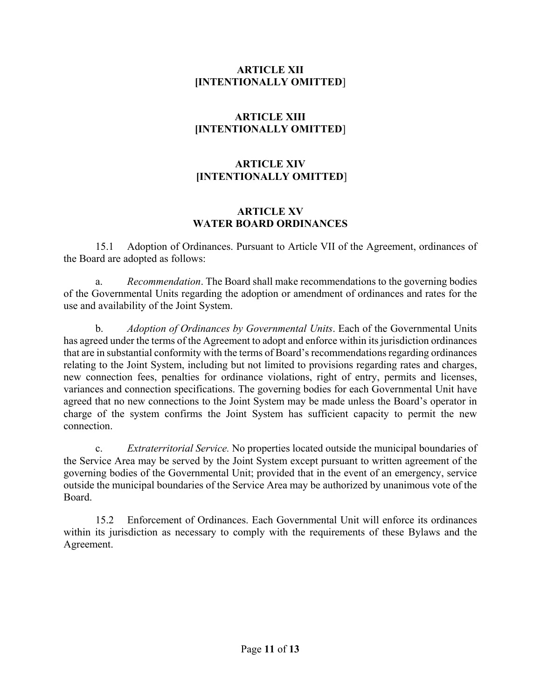## **ARTICLE XII [INTENTIONALLY OMITTED**]

# **ARTICLE XIII [INTENTIONALLY OMITTED**]

# **ARTICLE XIV [INTENTIONALLY OMITTED**]

## **ARTICLE XV WATER BOARD ORDINANCES**

15.1 Adoption of Ordinances. Pursuant to Article VII of the Agreement, ordinances of the Board are adopted as follows:

a. *Recommendation*. The Board shall make recommendations to the governing bodies of the Governmental Units regarding the adoption or amendment of ordinances and rates for the use and availability of the Joint System.

b. *Adoption of Ordinances by Governmental Units*. Each of the Governmental Units has agreed under the terms of the Agreement to adopt and enforce within its jurisdiction ordinances that are in substantial conformity with the terms of Board's recommendations regarding ordinances relating to the Joint System, including but not limited to provisions regarding rates and charges, new connection fees, penalties for ordinance violations, right of entry, permits and licenses, variances and connection specifications. The governing bodies for each Governmental Unit have agreed that no new connections to the Joint System may be made unless the Board's operator in charge of the system confirms the Joint System has sufficient capacity to permit the new connection.

c. *Extraterritorial Service.* No properties located outside the municipal boundaries of the Service Area may be served by the Joint System except pursuant to written agreement of the governing bodies of the Governmental Unit; provided that in the event of an emergency, service outside the municipal boundaries of the Service Area may be authorized by unanimous vote of the Board.

15.2 Enforcement of Ordinances. Each Governmental Unit will enforce its ordinances within its jurisdiction as necessary to comply with the requirements of these Bylaws and the Agreement.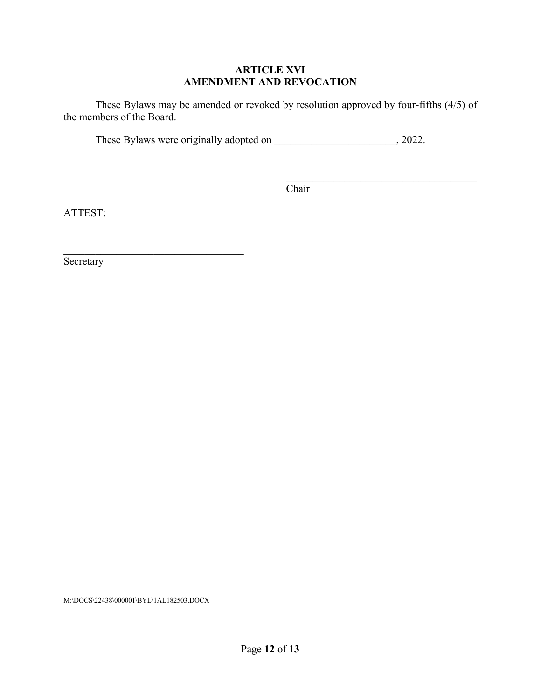# **ARTICLE XVI AMENDMENT AND REVOCATION**

These Bylaws may be amended or revoked by resolution approved by four-fifths (4/5) of the members of the Board.

These Bylaws were originally adopted on \_\_\_\_\_\_\_\_\_\_\_\_\_\_\_\_\_\_\_\_\_\_, 2022.

**Chair** 

ATTEST:

**Secretary** 

M:\DOCS\22438\000001\BYL\1AL182503.DOCX